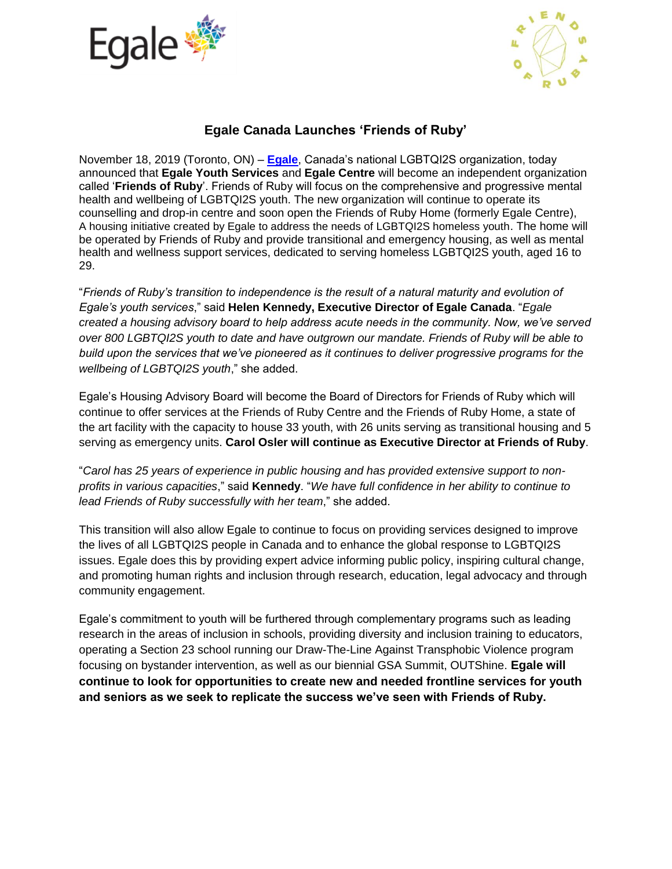



## **Egale Canada Launches 'Friends of Ruby'**

November 18, 2019 (Toronto, ON) – **[Egale](http://www.egale.ca/)**, Canada's national LGBTQI2S organization, today announced that **Egale Youth Services** and **Egale Centre** will become an independent organization called '**Friends of Ruby**'. Friends of Ruby will focus on the comprehensive and progressive mental health and wellbeing of LGBTQI2S youth. The new organization will continue to operate its counselling and drop-in centre and soon open the Friends of Ruby Home (formerly Egale Centre), A housing initiative created by Egale to address the needs of LGBTQI2S homeless youth. The home will be operated by Friends of Ruby and provide transitional and emergency housing, as well as mental health and wellness support services, dedicated to serving homeless LGBTQI2S youth, aged 16 to 29.

"*Friends of Ruby's transition to independence is the result of a natural maturity and evolution of Egale's youth services*," said **Helen Kennedy, Executive Director of Egale Canada**. "*Egale created a housing advisory board to help address acute needs in the community. Now, we've served over 800 LGBTQI2S youth to date and have outgrown our mandate. Friends of Ruby will be able to build upon the services that we've pioneered as it continues to deliver progressive programs for the wellbeing of LGBTQI2S youth*," she added.

Egale's Housing Advisory Board will become the Board of Directors for Friends of Ruby which will continue to offer services at the Friends of Ruby Centre and the Friends of Ruby Home, a state of the art facility with the capacity to house 33 youth, with 26 units serving as transitional housing and 5 serving as emergency units. **Carol Osler will continue as Executive Director at Friends of Ruby**.

"*Carol has 25 years of experience in public housing and has provided extensive support to nonprofits in various capacities*," said **Kennedy**. "*We have full confidence in her ability to continue to lead Friends of Ruby successfully with her team*," she added.

This transition will also allow Egale to continue to focus on providing services designed to improve the lives of all LGBTQI2S people in Canada and to enhance the global response to LGBTQI2S issues. Egale does this by providing expert advice informing public policy, inspiring cultural change, and promoting human rights and inclusion through research, education, legal advocacy and through community engagement.

Egale's commitment to youth will be furthered through complementary programs such as leading research in the areas of inclusion in schools, providing diversity and inclusion training to educators, operating a Section 23 school running our Draw-The-Line Against Transphobic Violence program focusing on bystander intervention, as well as our biennial GSA Summit, OUTShine. **Egale will continue to look for opportunities to create new and needed frontline services for youth and seniors as we seek to replicate the success we've seen with Friends of Ruby.**